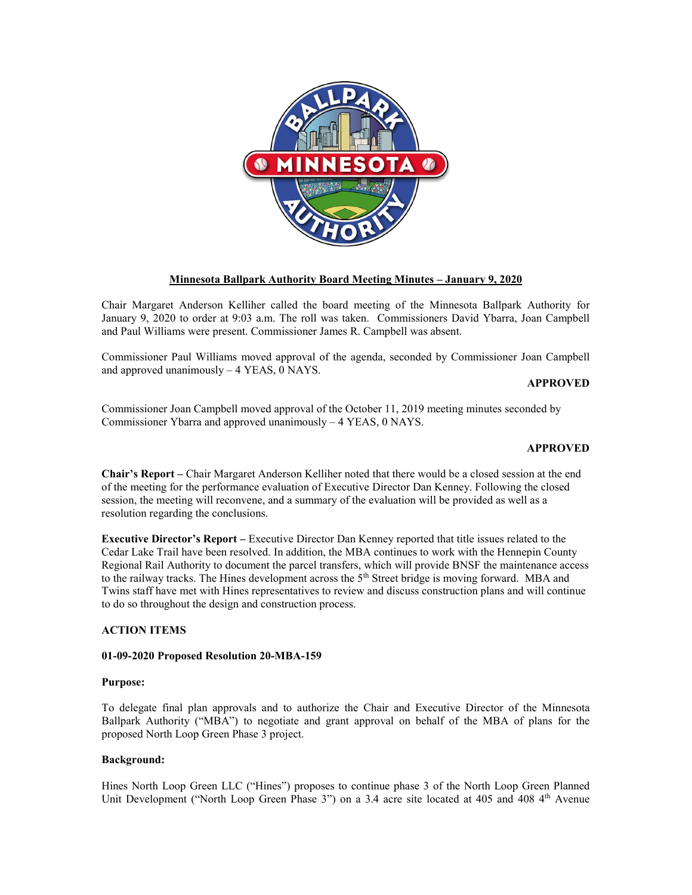

# **Minnesota Ballpark Authority Board Meeting Minutes – January 9, 2020**

Chair Margaret Anderson Kelliher called the board meeting of the Minnesota Ballpark Authority for January 9, 2020 to order at 9:03 a.m. The roll was taken. Commissioners David Ybarra, Joan Campbell and Paul Williams were present. Commissioner James R. Campbell was absent.

Commissioner Paul Williams moved approval of the agenda, seconded by Commissioner Joan Campbell and approved unanimously – 4 YEAS, 0 NAYS.

## **APPROVED**

Commissioner Joan Campbell moved approval of the October 11, 2019 meeting minutes seconded by Commissioner Ybarra and approved unanimously – 4 YEAS, 0 NAYS.

## **APPROVED**

**Chair's Report –** Chair Margaret Anderson Kelliher noted that there would be a closed session at the end of the meeting for the performance evaluation of Executive Director Dan Kenney. Following the closed session, the meeting will reconvene, and a summary of the evaluation will be provided as well as a resolution regarding the conclusions.

**Executive Director's Report –** Executive Director Dan Kenney reported that title issues related to the Cedar Lake Trail have been resolved. In addition, the MBA continues to work with the Hennepin County Regional Rail Authority to document the parcel transfers, which will provide BNSF the maintenance access to the railway tracks. The Hines development across the 5<sup>th</sup> Street bridge is moving forward. MBA and Twins staff have met with Hines representatives to review and discuss construction plans and will continue to do so throughout the design and construction process.

## **ACTION ITEMS**

### **01-09-2020 Proposed Resolution 20-MBA-159**

### **Purpose:**

To delegate final plan approvals and to authorize the Chair and Executive Director of the Minnesota Ballpark Authority ("MBA") to negotiate and grant approval on behalf of the MBA of plans for the proposed North Loop Green Phase 3 project.

### **Background:**

Hines North Loop Green LLC ("Hines") proposes to continue phase 3 of the North Loop Green Planned Unit Development ("North Loop Green Phase 3") on a 3.4 acre site located at 405 and 408 4<sup>th</sup> Avenue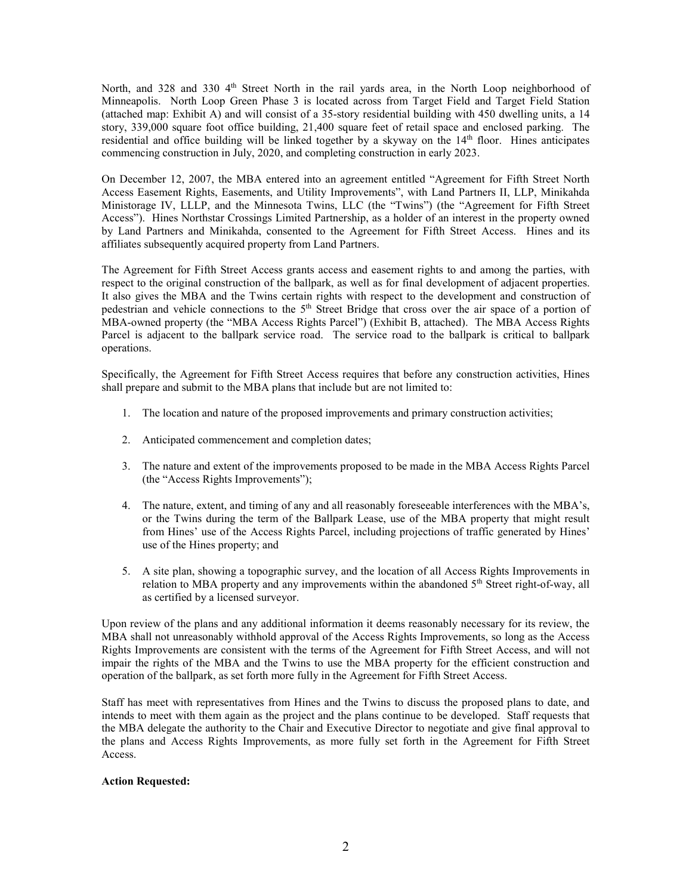North, and 328 and 330 4<sup>th</sup> Street North in the rail yards area, in the North Loop neighborhood of Minneapolis. North Loop Green Phase 3 is located across from Target Field and Target Field Station (attached map: Exhibit A) and will consist of a 35-story residential building with 450 dwelling units, a 14 story, 339,000 square foot office building, 21,400 square feet of retail space and enclosed parking. The residential and office building will be linked together by a skyway on the  $14<sup>th</sup>$  floor. Hines anticipates commencing construction in July, 2020, and completing construction in early 2023.

On December 12, 2007, the MBA entered into an agreement entitled "Agreement for Fifth Street North Access Easement Rights, Easements, and Utility Improvements", with Land Partners II, LLP, Minikahda Ministorage IV, LLLP, and the Minnesota Twins, LLC (the "Twins") (the "Agreement for Fifth Street Access"). Hines Northstar Crossings Limited Partnership, as a holder of an interest in the property owned by Land Partners and Minikahda, consented to the Agreement for Fifth Street Access. Hines and its affiliates subsequently acquired property from Land Partners.

The Agreement for Fifth Street Access grants access and easement rights to and among the parties, with respect to the original construction of the ballpark, as well as for final development of adjacent properties. It also gives the MBA and the Twins certain rights with respect to the development and construction of pedestrian and vehicle connections to the 5<sup>th</sup> Street Bridge that cross over the air space of a portion of MBA-owned property (the "MBA Access Rights Parcel") (Exhibit B, attached). The MBA Access Rights Parcel is adjacent to the ballpark service road. The service road to the ballpark is critical to ballpark operations.

Specifically, the Agreement for Fifth Street Access requires that before any construction activities, Hines shall prepare and submit to the MBA plans that include but are not limited to:

- 1. The location and nature of the proposed improvements and primary construction activities;
- 2. Anticipated commencement and completion dates;
- 3. The nature and extent of the improvements proposed to be made in the MBA Access Rights Parcel (the "Access Rights Improvements");
- 4. The nature, extent, and timing of any and all reasonably foreseeable interferences with the MBA's, or the Twins during the term of the Ballpark Lease, use of the MBA property that might result from Hines' use of the Access Rights Parcel, including projections of traffic generated by Hines' use of the Hines property; and
- 5. A site plan, showing a topographic survey, and the location of all Access Rights Improvements in relation to MBA property and any improvements within the abandoned  $5<sup>th</sup>$  Street right-of-way, all as certified by a licensed surveyor.

Upon review of the plans and any additional information it deems reasonably necessary for its review, the MBA shall not unreasonably withhold approval of the Access Rights Improvements, so long as the Access Rights Improvements are consistent with the terms of the Agreement for Fifth Street Access, and will not impair the rights of the MBA and the Twins to use the MBA property for the efficient construction and operation of the ballpark, as set forth more fully in the Agreement for Fifth Street Access.

Staff has meet with representatives from Hines and the Twins to discuss the proposed plans to date, and intends to meet with them again as the project and the plans continue to be developed. Staff requests that the MBA delegate the authority to the Chair and Executive Director to negotiate and give final approval to the plans and Access Rights Improvements, as more fully set forth in the Agreement for Fifth Street Access.

## **Action Requested:**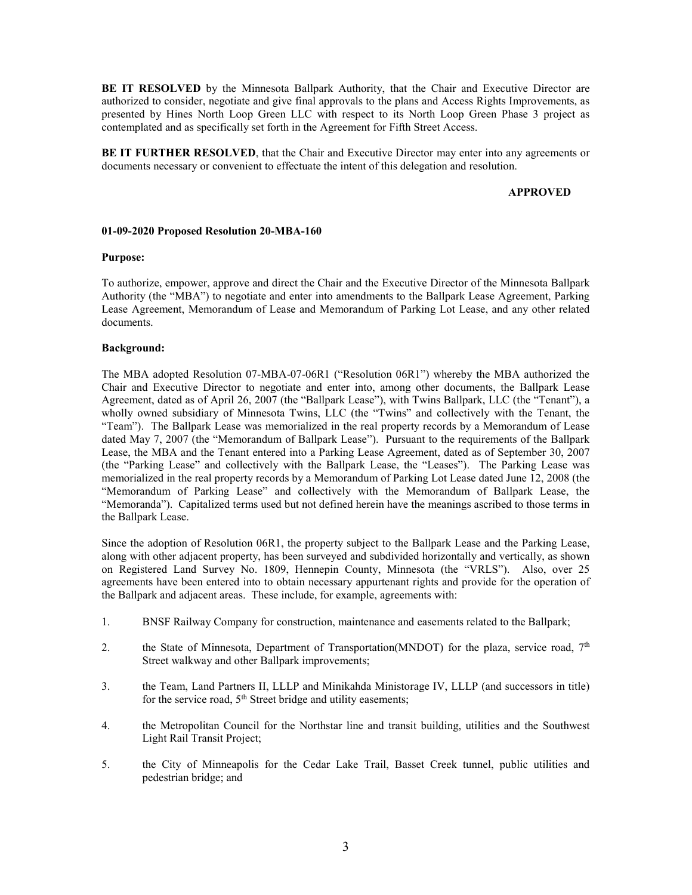**BE IT RESOLVED** by the Minnesota Ballpark Authority, that the Chair and Executive Director are authorized to consider, negotiate and give final approvals to the plans and Access Rights Improvements, as presented by Hines North Loop Green LLC with respect to its North Loop Green Phase 3 project as contemplated and as specifically set forth in the Agreement for Fifth Street Access.

**BE IT FURTHER RESOLVED**, that the Chair and Executive Director may enter into any agreements or documents necessary or convenient to effectuate the intent of this delegation and resolution.

### **APPROVED**

### **01-09-2020 Proposed Resolution 20-MBA-160**

#### **Purpose:**

To authorize, empower, approve and direct the Chair and the Executive Director of the Minnesota Ballpark Authority (the "MBA") to negotiate and enter into amendments to the Ballpark Lease Agreement, Parking Lease Agreement, Memorandum of Lease and Memorandum of Parking Lot Lease, and any other related documents.

### **Background:**

The MBA adopted Resolution 07-MBA-07-06R1 ("Resolution 06R1") whereby the MBA authorized the Chair and Executive Director to negotiate and enter into, among other documents, the Ballpark Lease Agreement, dated as of April 26, 2007 (the "Ballpark Lease"), with Twins Ballpark, LLC (the "Tenant"), a wholly owned subsidiary of Minnesota Twins, LLC (the "Twins" and collectively with the Tenant, the "Team"). The Ballpark Lease was memorialized in the real property records by a Memorandum of Lease dated May 7, 2007 (the "Memorandum of Ballpark Lease"). Pursuant to the requirements of the Ballpark Lease, the MBA and the Tenant entered into a Parking Lease Agreement, dated as of September 30, 2007 (the "Parking Lease" and collectively with the Ballpark Lease, the "Leases"). The Parking Lease was memorialized in the real property records by a Memorandum of Parking Lot Lease dated June 12, 2008 (the "Memorandum of Parking Lease" and collectively with the Memorandum of Ballpark Lease, the "Memoranda"). Capitalized terms used but not defined herein have the meanings ascribed to those terms in the Ballpark Lease.

Since the adoption of Resolution 06R1, the property subject to the Ballpark Lease and the Parking Lease, along with other adjacent property, has been surveyed and subdivided horizontally and vertically, as shown on Registered Land Survey No. 1809, Hennepin County, Minnesota (the "VRLS"). Also, over 25 agreements have been entered into to obtain necessary appurtenant rights and provide for the operation of the Ballpark and adjacent areas. These include, for example, agreements with:

- 1. BNSF Railway Company for construction, maintenance and easements related to the Ballpark;
- 2. the State of Minnesota, Department of Transportation(MNDOT) for the plaza, service road,  $7<sup>th</sup>$ Street walkway and other Ballpark improvements;
- 3. the Team, Land Partners II, LLLP and Minikahda Ministorage IV, LLLP (and successors in title) for the service road,  $5<sup>th</sup>$  Street bridge and utility easements;
- 4. the Metropolitan Council for the Northstar line and transit building, utilities and the Southwest Light Rail Transit Project;
- 5. the City of Minneapolis for the Cedar Lake Trail, Basset Creek tunnel, public utilities and pedestrian bridge; and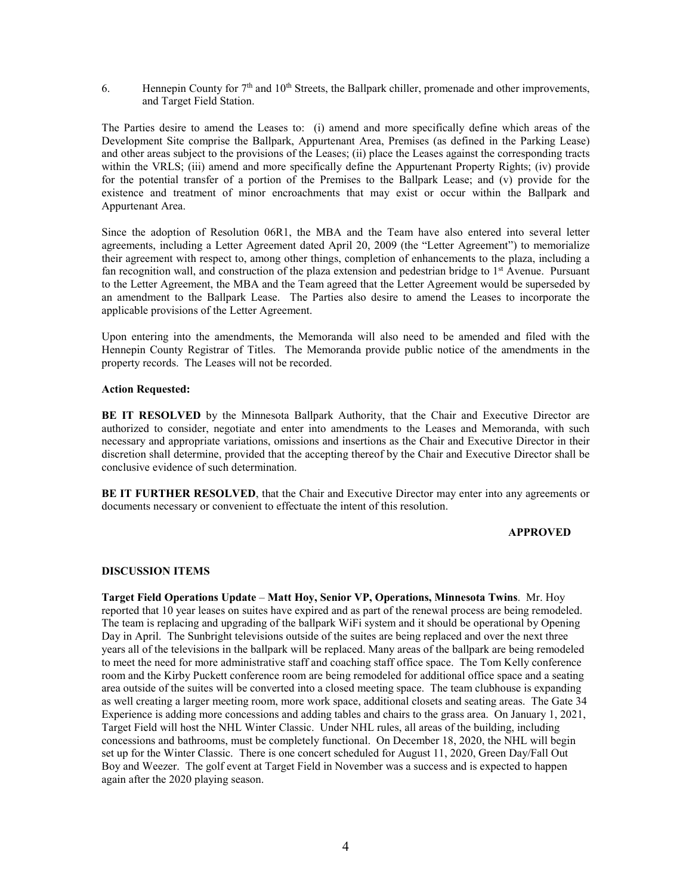6. Hennepin County for  $7<sup>th</sup>$  and  $10<sup>th</sup>$  Streets, the Ballpark chiller, promenade and other improvements, and Target Field Station.

The Parties desire to amend the Leases to: (i) amend and more specifically define which areas of the Development Site comprise the Ballpark, Appurtenant Area, Premises (as defined in the Parking Lease) and other areas subject to the provisions of the Leases; (ii) place the Leases against the corresponding tracts within the VRLS; (iii) amend and more specifically define the Appurtenant Property Rights; (iv) provide for the potential transfer of a portion of the Premises to the Ballpark Lease; and (v) provide for the existence and treatment of minor encroachments that may exist or occur within the Ballpark and Appurtenant Area.

Since the adoption of Resolution 06R1, the MBA and the Team have also entered into several letter agreements, including a Letter Agreement dated April 20, 2009 (the "Letter Agreement") to memorialize their agreement with respect to, among other things, completion of enhancements to the plaza, including a fan recognition wall, and construction of the plaza extension and pedestrian bridge to  $1<sup>st</sup>$  Avenue. Pursuant to the Letter Agreement, the MBA and the Team agreed that the Letter Agreement would be superseded by an amendment to the Ballpark Lease. The Parties also desire to amend the Leases to incorporate the applicable provisions of the Letter Agreement.

Upon entering into the amendments, the Memoranda will also need to be amended and filed with the Hennepin County Registrar of Titles. The Memoranda provide public notice of the amendments in the property records. The Leases will not be recorded.

## **Action Requested:**

**BE IT RESOLVED** by the Minnesota Ballpark Authority, that the Chair and Executive Director are authorized to consider, negotiate and enter into amendments to the Leases and Memoranda, with such necessary and appropriate variations, omissions and insertions as the Chair and Executive Director in their discretion shall determine, provided that the accepting thereof by the Chair and Executive Director shall be conclusive evidence of such determination.

**BE IT FURTHER RESOLVED**, that the Chair and Executive Director may enter into any agreements or documents necessary or convenient to effectuate the intent of this resolution.

### **APPROVED**

### **DISCUSSION ITEMS**

**Target Field Operations Update** – **Matt Hoy, Senior VP, Operations, Minnesota Twins**. Mr. Hoy reported that 10 year leases on suites have expired and as part of the renewal process are being remodeled. The team is replacing and upgrading of the ballpark WiFi system and it should be operational by Opening Day in April. The Sunbright televisions outside of the suites are being replaced and over the next three years all of the televisions in the ballpark will be replaced. Many areas of the ballpark are being remodeled to meet the need for more administrative staff and coaching staff office space. The Tom Kelly conference room and the Kirby Puckett conference room are being remodeled for additional office space and a seating area outside of the suites will be converted into a closed meeting space. The team clubhouse is expanding as well creating a larger meeting room, more work space, additional closets and seating areas. The Gate 34 Experience is adding more concessions and adding tables and chairs to the grass area. On January 1, 2021, Target Field will host the NHL Winter Classic. Under NHL rules, all areas of the building, including concessions and bathrooms, must be completely functional. On December 18, 2020, the NHL will begin set up for the Winter Classic. There is one concert scheduled for August 11, 2020, Green Day/Fall Out Boy and Weezer. The golf event at Target Field in November was a success and is expected to happen again after the 2020 playing season.